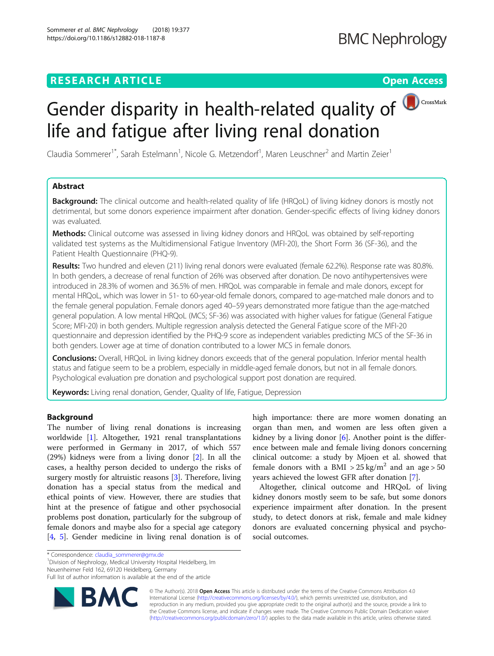# **RESEARCH ARTICLE Example 2014 CONSUMING A RESEARCH ARTICLE**



Claudia Sommerer<sup>1\*</sup>, Sarah Estelmann<sup>1</sup>, Nicole G. Metzendorf<sup>1</sup>, Maren Leuschner<sup>2</sup> and Martin Zeier<sup>1</sup>

## Abstract

**Background:** The clinical outcome and health-related quality of life (HRQoL) of living kidney donors is mostly not detrimental, but some donors experience impairment after donation. Gender-specific effects of living kidney donors was evaluated.

**Methods:** Clinical outcome was assessed in living kidney donors and HRQoL was obtained by self-reporting validated test systems as the Multidimensional Fatigue Inventory (MFI-20), the Short Form 36 (SF-36), and the Patient Health Questionnaire (PHQ-9).

Results: Two hundred and eleven (211) living renal donors were evaluated (female 62.2%). Response rate was 80.8%. In both genders, a decrease of renal function of 26% was observed after donation. De novo antihypertensives were introduced in 28.3% of women and 36.5% of men. HRQoL was comparable in female and male donors, except for mental HRQoL, which was lower in 51- to 60-year-old female donors, compared to age-matched male donors and to the female general population. Female donors aged 40–59 years demonstrated more fatigue than the age-matched general population. A low mental HRQoL (MCS; SF-36) was associated with higher values for fatigue (General Fatigue Score; MFI-20) in both genders. Multiple regression analysis detected the General Fatigue score of the MFI-20 questionnaire and depression identified by the PHQ-9 score as independent variables predicting MCS of the SF-36 in both genders. Lower age at time of donation contributed to a lower MCS in female donors.

Conclusions: Overall, HRQoL in living kidney donors exceeds that of the general population. Inferior mental health status and fatigue seem to be a problem, especially in middle-aged female donors, but not in all female donors. Psychological evaluation pre donation and psychological support post donation are required.

Keywords: Living renal donation, Gender, Quality of life, Fatigue, Depression

## **Background**

The number of living renal donations is increasing worldwide [[1\]](#page-8-0). Altogether, 1921 renal transplantations were performed in Germany in 2017, of which 557 (29%) kidneys were from a living donor [[2\]](#page-8-0). In all the cases, a healthy person decided to undergo the risks of surgery mostly for altruistic reasons [[3\]](#page-8-0). Therefore, living donation has a special status from the medical and ethical points of view. However, there are studies that hint at the presence of fatigue and other psychosocial problems post donation, particularly for the subgroup of female donors and maybe also for a special age category [[4,](#page-8-0) [5\]](#page-8-0). Gender medicine in living renal donation is of

<sup>1</sup> Division of Nephrology, Medical University Hospital Heidelberg, Im

Neuenheimer Feld 162, 69120 Heidelberg, Germany

Full list of author information is available at the end of the article



© The Author(s). 2018 Open Access This article is distributed under the terms of the Creative Commons Attribution 4.0 International License [\(http://creativecommons.org/licenses/by/4.0/](http://creativecommons.org/licenses/by/4.0/)), which permits unrestricted use, distribution, and reproduction in any medium, provided you give appropriate credit to the original author(s) and the source, provide a link to the Creative Commons license, and indicate if changes were made. The Creative Commons Public Domain Dedication waiver [\(http://creativecommons.org/publicdomain/zero/1.0/](http://creativecommons.org/publicdomain/zero/1.0/)) applies to the data made available in this article, unless otherwise stated.

social outcomes.

high importance: there are more women donating an organ than men, and women are less often given a kidney by a living donor [\[6\]](#page-8-0). Another point is the difference between male and female living donors concerning clinical outcome: a study by Mjoen et al. showed that female donors with a BMI >  $25 \text{ kg/m}^2$  and an age > 50

Altogether, clinical outcome and HRQoL of living kidney donors mostly seem to be safe, but some donors experience impairment after donation. In the present study, to detect donors at risk, female and male kidney donors are evaluated concerning physical and psycho-

years achieved the lowest GFR after donation [[7\]](#page-8-0).

<sup>\*</sup> Correspondence: [claudia\\_sommerer@gmx.de](mailto:claudia_sommerer@gmx.de) <sup>1</sup>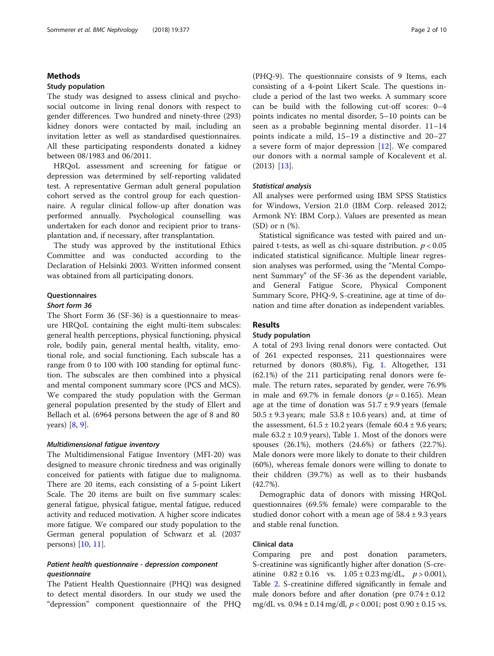## Methods

## Study population

The study was designed to assess clinical and psychosocial outcome in living renal donors with respect to gender differences. Two hundred and ninety-three (293) kidney donors were contacted by mail, including an invitation letter as well as standardised questionnaires. All these participating respondents donated a kidney between 08/1983 and 06/2011.

HRQoL assessment and screening for fatigue or depression was determined by self-reporting validated test. A representative German adult general population cohort served as the control group for each questionnaire. A regular clinical follow-up after donation was performed annually. Psychological counselling was undertaken for each donor and recipient prior to transplantation and, if necessary, after transplantation.

The study was approved by the institutional Ethics Committee and was conducted according to the Declaration of Helsinki 2003. Written informed consent was obtained from all participating donors.

## **Questionnaires**

## Short form 36

The Short Form 36 (SF-36) is a questionnaire to measure HRQoL containing the eight multi-item subscales: general health perceptions, physical functioning, physical role, bodily pain, general mental health, vitality, emotional role, and social functioning. Each subscale has a range from 0 to 100 with 100 standing for optimal function. The subscales are then combined into a physical and mental component summary score (PCS and MCS). We compared the study population with the German general population presented by the study of Ellert and Bellach et al. (6964 persons between the age of 8 and 80 years) [[8,](#page-8-0) [9\]](#page-8-0).

### Multidimensional fatigue inventory

The Multidimensional Fatigue Inventory (MFI-20) was designed to measure chronic tiredness and was originally conceived for patients with fatigue due to malignoma. There are 20 items, each consisting of a 5-point Likert Scale. The 20 items are built on five summary scales: general fatigue, physical fatigue, mental fatigue, reduced activity and reduced motivation. A higher score indicates more fatigue. We compared our study population to the German general population of Schwarz et al. (2037 persons) [\[10](#page-8-0), [11](#page-8-0)].

## Patient health questionnaire - depression component questionnaire

The Patient Health Questionnaire (PHQ) was designed to detect mental disorders. In our study we used the "depression" component questionnaire of the PHQ (PHQ-9). The questionnaire consists of 9 Items, each consisting of a 4-point Likert Scale. The questions include a period of the last two weeks. A summary score can be build with the following cut-off scores: 0–4 points indicates no mental disorder, 5–10 points can be seen as a probable beginning mental disorder. 11–14 points indicate a mild, 15–19 a distinctive and 20–27 a severe form of major depression [\[12](#page-8-0)]. We compared our donors with a normal sample of Kocalevent et al. (2013) [\[13](#page-8-0)].

### Statistical analysis

All analyses were performed using IBM SPSS Statistics for Windows, Version 21.0 (IBM Corp. released 2012; Armonk NY: IBM Corp.). Values are presented as mean (SD) or n (%).

Statistical significance was tested with paired and unpaired t-tests, as well as chi-square distribution.  $p < 0.05$ indicated statistical significance. Multiple linear regression analyses was performed, using the "Mental Component Summary" of the SF-36 as the dependent variable, and General Fatigue Score, Physical Component Summary Score, PHQ-9, S-creatinine, age at time of donation and time after donation as independent variables.

## Results

## Study population

A total of 293 living renal donors were contacted. Out of 261 expected responses, 211 questionnaires were returned by donors (80.8%), Fig. [1](#page-2-0). Altogether, 131 (62.1%) of the 211 participating renal donors were female. The return rates, separated by gender, were 76.9% in male and 69.7% in female donors ( $p = 0.165$ ). Mean age at the time of donation was  $51.7 \pm 9.9$  years (female  $50.5 \pm 9.3$  years; male  $53.8 \pm 10.6$  years) and, at time of the assessment,  $61.5 \pm 10.2$  years (female  $60.4 \pm 9.6$  years; male  $63.2 \pm 10.9$  $63.2 \pm 10.9$  $63.2 \pm 10.9$  years), Table 1. Most of the donors were spouses (26.1%), mothers (24.6%) or fathers (22.7%). Male donors were more likely to donate to their children (60%), whereas female donors were willing to donate to their children (39.7%) as well as to their husbands (42.7%).

Demographic data of donors with missing HRQoL questionnaires (69.5% female) were comparable to the studied donor cohort with a mean age of  $58.4 \pm 9.3$  years and stable renal function.

## Clinical data

Comparing pre and post donation parameters, S-creatinine was significantly higher after donation (S-creatinine  $0.82 \pm 0.16$  vs.  $1.05 \pm 0.23$  mg/dL,  $p > 0.001$ ), Table [2.](#page-3-0) S-creatinine differed significantly in female and male donors before and after donation (pre  $0.74 \pm 0.12$ ) mg/dL vs.  $0.94 \pm 0.14$  mg/dl,  $p < 0.001$ ; post  $0.90 \pm 0.15$  vs.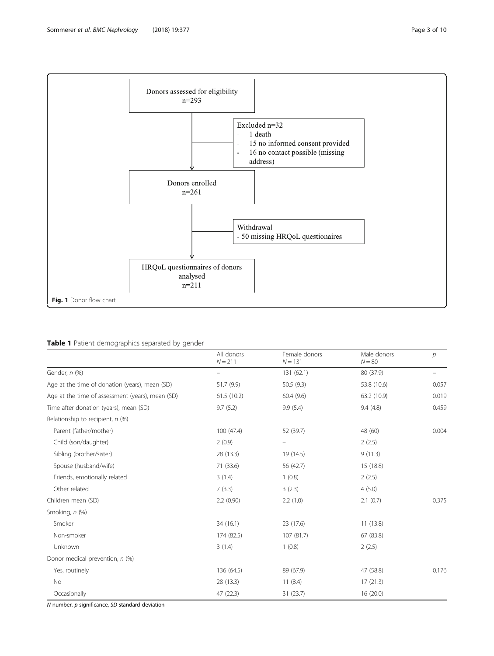

<span id="page-2-0"></span>

## Table 1 Patient demographics separated by gender

|                                                  | All donors<br>$N = 211$ | Female donors<br>$N = 131$ | Male donors<br>$N = 80$ | $\overline{p}$ |
|--------------------------------------------------|-------------------------|----------------------------|-------------------------|----------------|
| Gender, n (%)                                    |                         | 131(62.1)                  | 80 (37.9)               |                |
| Age at the time of donation (years), mean (SD)   | 51.7 (9.9)              | 50.5(9.3)                  | 53.8 (10.6)             | 0.057          |
| Age at the time of assessment (years), mean (SD) | 61.5(10.2)              | 60.4(9.6)                  | 63.2 (10.9)             | 0.019          |
| Time after donation (years), mean (SD)           | 9.7(5.2)                | 9.9(5.4)                   | 9.4(4.8)                | 0.459          |
| Relationship to recipient, $n$ (%)               |                         |                            |                         |                |
| Parent (father/mother)                           | 100 (47.4)              | 52 (39.7)                  | 48 (60)                 | 0.004          |
| Child (son/daughter)                             | 2(0.9)                  | $\overline{\phantom{0}}$   | 2(2.5)                  |                |
| Sibling (brother/sister)                         | 28 (13.3)               | 19 (14.5)                  | 9(11.3)                 |                |
| Spouse (husband/wife)                            | 71 (33.6)               | 56 (42.7)                  | 15 (18.8)               |                |
| Friends, emotionally related                     | 3(1.4)                  | 1(0.8)                     | 2(2.5)                  |                |
| Other related                                    | 7(3.3)                  | 3(2.3)                     | 4(5.0)                  |                |
| Children mean (SD)                               | 2.2(0.90)               | 2.2(1.0)                   | 2.1(0.7)                | 0.375          |
| Smoking, n (%)                                   |                         |                            |                         |                |
| Smoker                                           | 34 (16.1)               | 23 (17.6)                  | 11(13.8)                |                |
| Non-smoker                                       | 174 (82.5)              | 107 (81.7)                 | 67 (83.8)               |                |
| Unknown                                          | 3(1.4)                  | 1(0.8)                     | 2(2.5)                  |                |
| Donor medical prevention, n (%)                  |                         |                            |                         |                |
| Yes, routinely                                   | 136 (64.5)              | 89 (67.9)                  | 47 (58.8)               | 0.176          |
| No                                               | 28 (13.3)               | 11(8.4)                    | 17(21.3)                |                |
| Occasionally                                     | 47 (22.3)               | 31(23.7)                   | 16(20.0)                |                |

 $N$  number,  $p$  significance,  $SD$  standard deviation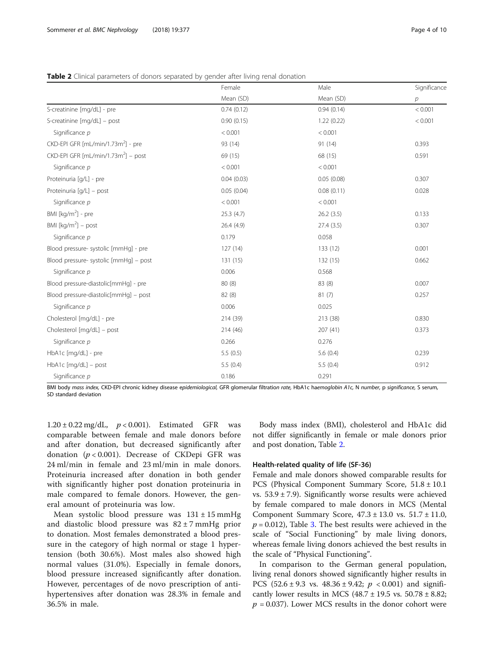|                                                 | Female     | Male       | Significance   |
|-------------------------------------------------|------------|------------|----------------|
|                                                 | Mean (SD)  | Mean (SD)  | $\overline{p}$ |
| S-creatinine [mg/dL] - pre                      | 0.74(0.12) | 0.94(0.14) | < 0.001        |
| S-creatinine [mg/dL] - post                     | 0.90(0.15) | 1.22(0.22) | < 0.001        |
| Significance p                                  | < 0.001    | < 0.001    |                |
| CKD-EPI GFR [mL/min/1.73m <sup>2</sup> ] - pre  | 93 (14)    | 91 (14)    | 0.393          |
| CKD-EPI GFR [mL/min/1.73m <sup>2</sup> ] – post | 69 (15)    | 68 (15)    | 0.591          |
| Significance p                                  | < 0.001    | < 0.001    |                |
| Proteinuria [q/L] - pre                         | 0.04(0.03) | 0.05(0.08) | 0.307          |
| Proteinuria [g/L] - post                        | 0.05(0.04) | 0.08(0.11) | 0.028          |
| Significance p                                  | < 0.001    | < 0.001    |                |
| BMI [ $kg/m2$ ] - pre                           | 25.3(4.7)  | 26.2(3.5)  | 0.133          |
| BMI $[kq/m2]$ – post                            | 26.4(4.9)  | 27.4(3.5)  | 0.307          |
| Significance p                                  | 0.179      | 0.058      |                |
| Blood pressure- systolic [mmHq] - pre           | 127(14)    | 133(12)    | 0.001          |
| Blood pressure- systolic [mmHq] - post          | 131(15)    | 132(15)    | 0.662          |
| Significance p                                  | 0.006      | 0.568      |                |
| Blood pressure-diastolic[mmHq] - pre            | 80 (8)     | 83 (8)     | 0.007          |
| Blood pressure-diastolic[mmHg] - post           | 82(8)      | 81(7)      | 0.257          |
| Significance p                                  | 0.006      | 0.025      |                |
| Cholesterol [mg/dL] - pre                       | 214 (39)   | 213 (38)   | 0.830          |
| Cholesterol [mg/dL] - post                      | 214 (46)   | 207(41)    | 0.373          |
| Significance $p$                                | 0.266      | 0.276      |                |
| HbA1c [mg/dL] - pre                             | 5.5(0.5)   | 5.6(0.4)   | 0.239          |
| $HbA1c$ [mg/dL] - post                          | 5.5(0.4)   | 5.5(0.4)   | 0.912          |
| Significance p                                  | 0.186      | 0.291      |                |

<span id="page-3-0"></span>

| Table 2 Clinical parameters of donors separated by gender after living renal donation |  |  |  |
|---------------------------------------------------------------------------------------|--|--|--|
|                                                                                       |  |  |  |

BMI body mass index, CKD-EPI chronic kidney disease epidemiological, GFR glomerular filtration rate, HbA1c haemoglobin A1c, N number, p significance, S serum, SD standard deviation

 $1.20 \pm 0.22$  mg/dL,  $p < 0.001$ ). Estimated GFR was comparable between female and male donors before and after donation, but decreased significantly after donation  $(p < 0.001)$ . Decrease of CKDepi GFR was 24 ml/min in female and 23 ml/min in male donors. Proteinuria increased after donation in both gender with significantly higher post donation proteinuria in male compared to female donors. However, the general amount of proteinuria was low.

Mean systolic blood pressure was  $131 \pm 15$  mmHg and diastolic blood pressure was  $82 \pm 7$  mmHg prior to donation. Most females demonstrated a blood pressure in the category of high normal or stage 1 hypertension (both 30.6%). Most males also showed high normal values (31.0%). Especially in female donors, blood pressure increased significantly after donation. However, percentages of de novo prescription of antihypertensives after donation was 28.3% in female and 36.5% in male.

Body mass index (BMI), cholesterol and HbA1c did not differ significantly in female or male donors prior and post donation, Table 2.

## Health-related quality of life (SF-36)

Female and male donors showed comparable results for PCS (Physical Component Summary Score, 51.8 ± 10.1 vs.  $53.9 \pm 7.9$ ). Significantly worse results were achieved by female compared to male donors in MCS (Mental Component Summary Score, 47.3 ± 13.0 vs. 51.7 ± 11.0,  $p = 0.012$ ), Table [3](#page-4-0). The best results were achieved in the scale of "Social Functioning" by male living donors, whereas female living donors achieved the best results in the scale of "Physical Functioning".

In comparison to the German general population, living renal donors showed significantly higher results in PCS (52.6 ± 9.3 vs.  $48.36 \pm 9.42$ ;  $p < 0.001$ ) and significantly lower results in MCS  $(48.7 \pm 19.5 \text{ vs. } 50.78 \pm 8.82)$ ;  $p = 0.037$ ). Lower MCS results in the donor cohort were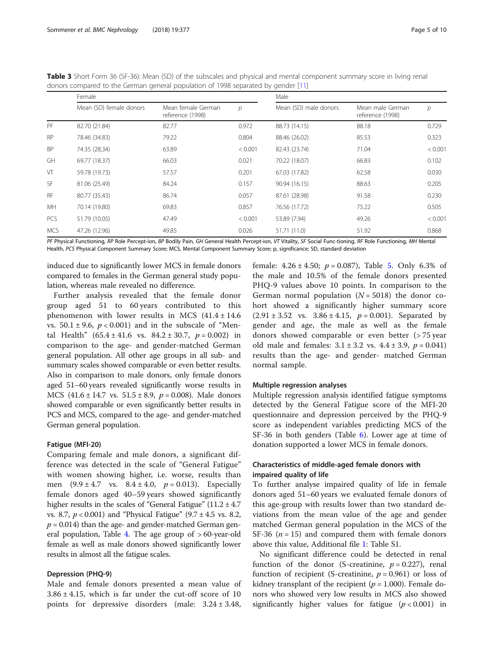|            | Female                  |                                        |         | Male                  |                                      |         |  |  |
|------------|-------------------------|----------------------------------------|---------|-----------------------|--------------------------------------|---------|--|--|
|            | Mean (SD) female donors | Mean female German<br>reference (1998) | р       | Mean (SD) male donors | Mean male German<br>reference (1998) | р       |  |  |
| PF         | 82.70 (21.84)           | 82.77                                  | 0.972   | 88.73 (14.15)         | 88.18                                | 0.729   |  |  |
| <b>RP</b>  | 78.46 (34.83)           | 79.22                                  | 0.804   | 88.46 (26.02)         | 85.53                                | 0.323   |  |  |
| <b>BP</b>  | 74.35 (28,34)           | 63.89                                  | < 0.001 | 82.43 (23.74)         | 71.04                                | < 0.001 |  |  |
| GH         | 69.77 (18.37)           | 66.03                                  | 0.021   | 70.22 (18.07)         | 66.83                                | 0.102   |  |  |
| VT         | 59.78 (19.73)           | 57.57                                  | 0.201   | 67.03 (17.82)         | 62.58                                | 0.030   |  |  |
| <b>SF</b>  | 81.06 (25.49)           | 84.24                                  | 0.157   | 90.94 (16.15)         | 88.63                                | 0.205   |  |  |
| <b>RF</b>  | 80.77 (35.43)           | 86.74                                  | 0.057   | 87.61 (28.98)         | 91.58                                | 0.230   |  |  |
| <b>MH</b>  | 70.14 (19.80)           | 69.83                                  | 0.857   | 76.56 (17.72)         | 75.22                                | 0.505   |  |  |
| <b>PCS</b> | 51.79 (10.05)           | 47.49                                  | < 0.001 | 53.89 (7.94)          | 49.26                                | < 0.001 |  |  |
| <b>MCS</b> | 47.26 (12.96)           | 49.85                                  | 0.026   | 51.71 (11.0)          | 51.92                                | 0.868   |  |  |

<span id="page-4-0"></span>Table 3 Short Form 36 (SF-36): Mean (SD) of the subscales and physical and mental component summary score in living renal  $\epsilon$  compared to the German general population of 1998 separated by generated  $\epsilon$  [\[11\]](#page-8-0)

PF Physical Functioning, RP Role Percept-ion, BP Bodily Pain, GH General Health Percept-ion, VT Vitality, SF Social Func-tioning, RF Role Functioning, MH Mental Health, PCS Physical Component Summary Score; MCS, Mental Component Summary Score; p, significance; SD, standard deviation

induced due to significantly lower MCS in female donors compared to females in the German general study population, whereas male revealed no difference.

Further analysis revealed that the female donor group aged 51 to 60 years contributed to this phenomenon with lower results in MCS  $(41.4 \pm 14.6$ vs.  $50.1 \pm 9.6$ ,  $p < 0.001$ ) and in the subscale of "Mental Health" (65.4 ± 41.6 vs.  $84.2 \pm 30.7$ ,  $p = 0.002$ ) in comparison to the age- and gender-matched German general population. All other age groups in all sub- and summary scales showed comparable or even better results. Also in comparison to male donors, only female donors aged 51–60 years revealed significantly worse results in MCS  $(41.6 \pm 14.7 \text{ vs. } 51.5 \pm 8.9, p = 0.008)$ . Male donors showed comparable or even significantly better results in PCS and MCS, compared to the age- and gender-matched German general population.

## Fatigue (MFI-20)

Comparing female and male donors, a significant difference was detected in the scale of "General Fatigue" with women showing higher, i.e. worse, results than men  $(9.9 \pm 4.7 \text{ vs. } 8.4 \pm 4.0, p = 0.013)$ . Especially female donors aged 40–59 years showed significantly higher results in the scales of "General Fatigue"  $(11.2 \pm 4.7)$ vs. 8.7,  $p < 0.001$ ) and "Physical Fatigue" (9.7 ± 4.5 vs. 8.2,  $p = 0.014$ ) than the age- and gender-matched German gen-eral population, Table [4.](#page-5-0) The age group of  $>60$ -year-old female as well as male donors showed significantly lower results in almost all the fatigue scales.

## Depression (PHQ-9)

Male and female donors presented a mean value of  $3.86 \pm 4.15$ , which is far under the cut-off score of 10 points for depressive disorders (male: 3.24 ± 3.48,

female:  $4.26 \pm 4.50$  $4.26 \pm 4.50$  $4.26 \pm 4.50$ ;  $p = 0.087$ ), Table 5. Only 6.3% of the male and 10.5% of the female donors presented PHQ-9 values above 10 points. In comparison to the German normal population  $(N = 5018)$  the donor cohort showed a significantly higher summary score  $(2.91 \pm 3.52 \text{ vs. } 3.86 \pm 4.15, p = 0.001)$ . Separated by gender and age, the male as well as the female donors showed comparable or even better (> 75 year old male and females:  $3.1 \pm 3.2$  vs.  $4.4 \pm 3.9$ ,  $p = 0.041$ ) results than the age- and gender- matched German normal sample.

## Multiple regression analyses

Multiple regression analysis identified fatigue symptoms detected by the General Fatigue score of the MFI-20 questionnaire and depression perceived by the PHQ-9 score as independent variables predicting MCS of the SF-36 in both genders (Table [6\)](#page-6-0). Lower age at time of donation supported a lower MCS in female donors.

## Characteristics of middle-aged female donors with impaired quality of life

To further analyse impaired quality of life in female donors aged 51–60 years we evaluated female donors of this age-group with results lower than two standard deviations from the mean value of the age and gender matched German general population in the MCS of the SF-36 ( $n = 15$ ) and compared them with female donors above this value, Additional file [1:](#page-8-0) Table S1.

No significant difference could be detected in renal function of the donor (S-creatinine,  $p = 0.227$ ), renal function of recipient (S-creatinine,  $p = 0.961$ ) or loss of kidney transplant of the recipient ( $p = 1.000$ ). Female donors who showed very low results in MCS also showed significantly higher values for fatigue  $(p < 0.001)$  in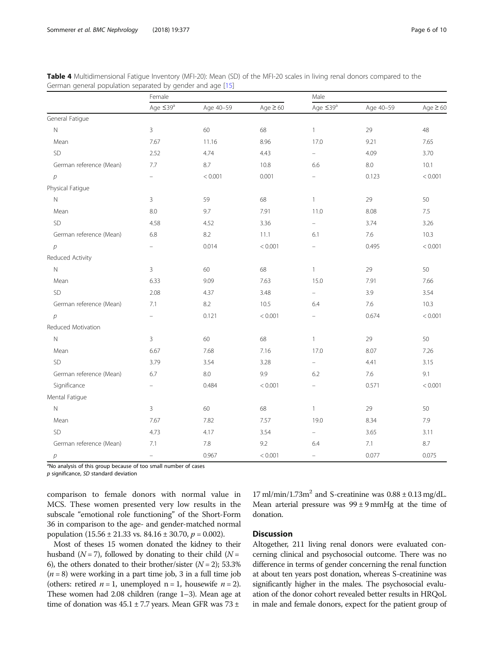|                         | Female            |           |               | Male                     |           |               |  |
|-------------------------|-------------------|-----------|---------------|--------------------------|-----------|---------------|--|
|                         | Age $\leq 39^a$   | Age 40-59 | Age $\geq 60$ | Age $\leq 39^a$          | Age 40-59 | Age $\geq 60$ |  |
| General Fatigue         |                   |           |               |                          |           |               |  |
| $\mathbb N$             | $\mathsf 3$       | 60        | 68            | $\mathbf{1}$             | 29        | 48            |  |
| Mean                    | 7.67              | 11.16     | 8.96          | 17.0                     | 9.21      | 7.65          |  |
| SD                      | 2.52              | 4.74      | 4.43          | $\overline{\phantom{0}}$ | 4.09      | 3.70          |  |
| German reference (Mean) | 7.7               | 8.7       | 10.8          | 6.6                      | $8.0\,$   | 10.1          |  |
| $\mathcal{D}$           | $\equiv$          | < 0.001   | 0.001         | $\equiv$                 | 0.123     | < 0.001       |  |
| Physical Fatigue        |                   |           |               |                          |           |               |  |
| $\mathbb N$             | 3                 | 59        | 68            | $\mathbf{1}$             | 29        | 50            |  |
| Mean                    | 8.0               | 9.7       | 7.91          | 11.0                     | 8.08      | 7.5           |  |
| <b>SD</b>               | 4.58              | 4.52      | 3.36          | $\equiv$                 | 3.74      | 3.26          |  |
| German reference (Mean) | 6.8               | 8.2       | 11.1          | 6.1                      | 7.6       | 10.3          |  |
| $\mathcal{P}$           | $\equiv$          | 0.014     | < 0.001       | $\equiv$                 | 0.495     | < 0.001       |  |
| Reduced Activity        |                   |           |               |                          |           |               |  |
| $\mathbb N$             | 3                 | 60        | 68            | $\mathbf{1}$             | 29        | 50            |  |
| Mean                    | 6.33              | 9.09      | 7.63          | 15.0                     | 7.91      | 7.66          |  |
| SD                      | 2.08              | 4.37      | 3.48          | $\equiv$                 | 3.9       | 3.54          |  |
| German reference (Mean) | 7.1               | 8.2       | 10.5          | 6.4                      | 7.6       | 10.3          |  |
| $\mathcal{P}$           | $\equiv$          | 0.121     | < 0.001       | $\overline{\phantom{0}}$ | 0.674     | < 0.001       |  |
| Reduced Motivation      |                   |           |               |                          |           |               |  |
| $\mathbb N$             | 3                 | 60        | 68            | $\mathbf{1}$             | 29        | 50            |  |
| Mean                    | 6.67              | 7.68      | 7.16          | 17.0                     | 8.07      | 7.26          |  |
| <b>SD</b>               | 3.79              | 3.54      | 3.28          | $\equiv$                 | 4.41      | 3.15          |  |
| German reference (Mean) | 6.7               | 8.0       | 9.9           | 6.2                      | 7.6       | 9.1           |  |
| Significance            | $\qquad \qquad -$ | 0.484     | < 0.001       | $\equiv$                 | 0.571     | < 0.001       |  |
| Mental Fatigue          |                   |           |               |                          |           |               |  |
| $\mathbb N$             | 3                 | 60        | 68            | $\mathbf{1}$             | 29        | 50            |  |
| Mean                    | 7.67              | 7.82      | 7.57          | 19.0                     | 8.34      | 7.9           |  |
| <b>SD</b>               | 4.73              | 4.17      | 3.54          | $\overline{\phantom{0}}$ | 3.65      | 3.11          |  |
| German reference (Mean) | 7.1               | 7.8       | 9.2           | 6.4                      | 7.1       | 8.7           |  |
| $\overline{p}$          | $\qquad \qquad -$ | 0.967     | < 0.001       |                          | 0.077     | 0.075         |  |

<span id="page-5-0"></span>

| Table 4 Multidimensional Fatigue Inventory (MFI-20): Mean (SD) of the MFI-20 scales in living renal donors compared to the |  |  |  |  |  |
|----------------------------------------------------------------------------------------------------------------------------|--|--|--|--|--|
| German general population separated by gender and age [15]                                                                 |  |  |  |  |  |

<sup>a</sup>No analysis of this group because of too small number of cases

p significance, SD standard deviation

comparison to female donors with normal value in MCS. These women presented very low results in the subscale "emotional role functioning" of the Short-Form 36 in comparison to the age- and gender-matched normal population  $(15.56 \pm 21.33 \text{ vs. } 84.16 \pm 30.70, p = 0.002)$ .

Most of theses 15 women donated the kidney to their husband ( $N = 7$ ), followed by donating to their child ( $N =$ 6), the others donated to their brother/sister  $(N = 2)$ ; 53.3%  $(n = 8)$  were working in a part time job, 3 in a full time job (others: retired  $n = 1$ , unemployed  $n = 1$ , housewife  $n = 2$ ). These women had 2.08 children (range 1–3). Mean age at time of donation was  $45.1 \pm 7.7$  years. Mean GFR was  $73 \pm$ 

 $17 \text{ mil/min}/1.73 \text{m}^2$  and S-creatinine was  $0.88 \pm 0.13 \text{ mg/dL}$ . Mean arterial pressure was  $99 \pm 9$  mmHg at the time of donation.

## Discussion

Altogether, 211 living renal donors were evaluated concerning clinical and psychosocial outcome. There was no difference in terms of gender concerning the renal function at about ten years post donation, whereas S-creatinine was significantly higher in the males. The psychosocial evaluation of the donor cohort revealed better results in HRQoL in male and female donors, expect for the patient group of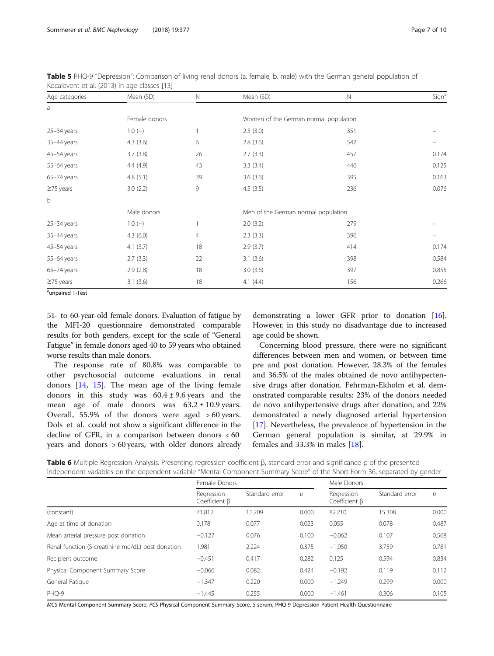| Age categories  | Mean (SD)     | $\mathbb N$    | Mean (SD)                             | $\mathbb N$                         | Sign <sup>a</sup> |  |  |
|-----------------|---------------|----------------|---------------------------------------|-------------------------------------|-------------------|--|--|
| a               |               |                |                                       |                                     |                   |  |  |
|                 | Female donors |                | Women of the German normal population |                                     |                   |  |  |
| $25 - 34$ years | $1.0(-)$      | $\mathbf{1}$   | 2.5(3.0)                              | 351                                 |                   |  |  |
| 35-44 years     | 4.3(3.6)      | 6              | 2.8(3.6)                              | 542                                 |                   |  |  |
| 45-54 years     | 3.7(3.8)      | 26             | 2.7(3.3)                              | 457                                 | 0.174             |  |  |
| 55-64 years     | 4.4(4.9)      | 43             | 3.3(3.4)                              | 446                                 | 0.125             |  |  |
| 65-74 years     | 4.8(5.1)      | 39             | 3.6(3.6)                              | 395                                 | 0.163             |  |  |
| $\geq$ 75 years | 3.0(2.2)      | 9              | 4.5(3.5)                              | 236                                 | 0.076             |  |  |
| $\mathsf b$     |               |                |                                       |                                     |                   |  |  |
|                 | Male donors   |                |                                       | Men of the German normal population |                   |  |  |
| $25 - 34$ years | $1.0(-)$      | $\mathbf{1}$   | 2.0(3.2)                              | 279                                 |                   |  |  |
| 35-44 years     | 4.3(6.0)      | $\overline{4}$ | 2.3(3.3)                              | 396                                 |                   |  |  |
| 45-54 years     | 4.1(3.7)      | 18             | 2.9(3.7)                              | 414                                 | 0.174             |  |  |
| $55-64$ years   | 2.7(3.3)      | 22             | 3.1(3.6)                              | 398                                 | 0.584             |  |  |
| $65-74$ years   | 2.9(2.8)      | 18             | 3.0(3.6)                              | 397                                 | 0.855             |  |  |
| $\geq$ 75 years | 3.1(3.6)      | 18             | 4.1(4.4)                              | 156                                 | 0.266             |  |  |

<span id="page-6-0"></span>Table 5 PHQ-9 "Depression": Comparison of living renal donors (a. female, b. male) with the German general population of Kocalevent et al. (2013) in age classes [\[13\]](#page-8-0)

<sup>a</sup>unpaired T-Test

51- to 60-year-old female donors. Evaluation of fatigue by the MFI-20 questionnaire demonstrated comparable results for both genders, except for the scale of "General Fatigue" in female donors aged 40 to 59 years who obtained worse results than male donors.

The response rate of 80.8% was comparable to other psychosocial outcome evaluations in renal donors [\[14](#page-8-0), [15](#page-8-0)]. The mean age of the living female donors in this study was  $60.4 \pm 9.6$  years and the mean age of male donors was  $63.2 \pm 10.9$  years. Overall, 55.9% of the donors were aged > 60 years. Dols et al. could not show a significant difference in the decline of GFR, in a comparison between donors < 60 years and donors > 60 years, with older donors already

demonstrating a lower GFR prior to donation [[16](#page-8-0)]. However, in this study no disadvantage due to increased age could be shown.

Concerning blood pressure, there were no significant differences between men and women, or between time pre and post donation. However, 28.3% of the females and 36.5% of the males obtained de novo antihypertensive drugs after donation. Fehrman-Ekholm et al. demonstrated comparable results: 23% of the donors needed de novo antihypertensive drugs after donation, and 22% demonstrated a newly diagnosed arterial hypertension [[17\]](#page-8-0). Nevertheless, the prevalence of hypertension in the German general population is similar, at 29.9% in females and 33.3% in males [\[18](#page-8-0)].

**Table 6** Multiple Regression Analysis. Presenting regression coefficient β, standard error and significance p of the presented independent variables on the dependent variable "Mental Component Summary Score" of the Short-Form 36, separated by gender

|                                                   | Female Donors                          |                |               | Male Donors                            |                |       |
|---------------------------------------------------|----------------------------------------|----------------|---------------|----------------------------------------|----------------|-------|
|                                                   | Regression<br>Coefficient <sub>B</sub> | Standard error | $\mathcal{D}$ | Regression<br>Coefficient <sub>B</sub> | Standard error | р     |
| (constant)                                        | 71.812                                 | 11.209         | 0.000         | 82.210                                 | 15.308         | 0.000 |
| Age at time of donation                           | 0.178                                  | 0.077          | 0.023         | 0.055                                  | 0.078          | 0.487 |
| Mean arterial pressure post donation              | $-0.127$                               | 0.076          | 0.100         | $-0.062$                               | 0.107          | 0.568 |
| Renal function (S-creatinine mg/dL) post donation | 1.981                                  | 2.224          | 0.375         | $-1.050$                               | 3.759          | 0.781 |
| Recipient outcome                                 | $-0.451$                               | 0.417          | 0.282         | 0.125                                  | 0.594          | 0.834 |
| Physical Component Summary Score                  | $-0.066$                               | 0.082          | 0.424         | $-0.192$                               | 0.119          | 0.112 |
| General Fatique                                   | $-1.347$                               | 0.220          | 0.000         | $-1.249$                               | 0.299          | 0.000 |
| PHO-9                                             | $-1.445$                               | 0.255          | 0.000         | $-1.461$                               | 0.306          | 0.105 |

MCS Mental Component Summary Score, PCS Physical Component Summary Score, S serum, PHQ-9 Depression Patient Health Questionnaire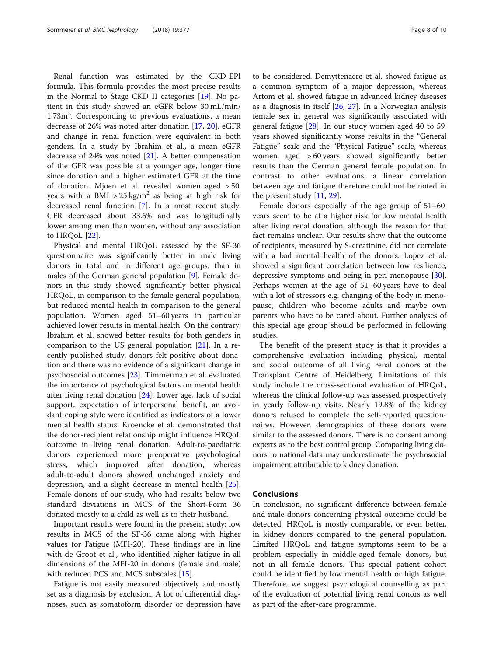Renal function was estimated by the CKD-EPI formula. This formula provides the most precise results in the Normal to Stage CKD II categories [[19](#page-8-0)]. No patient in this study showed an eGFR below 30 mL/min/  $1.73$ m<sup>2</sup>. Corresponding to previous evaluations, a mean decrease of 26% was noted after donation [\[17](#page-8-0), [20](#page-8-0)]. eGFR and change in renal function were equivalent in both genders. In a study by Ibrahim et al., a mean eGFR decrease of 24% was noted [\[21](#page-8-0)]. A better compensation of the GFR was possible at a younger age, longer time since donation and a higher estimated GFR at the time of donation. Mjoen et al. revealed women aged > 50 years with a BMI >  $25 \text{ kg/m}^2$  as being at high risk for decreased renal function [[7\]](#page-8-0). In a most recent study, GFR decreased about 33.6% and was longitudinally lower among men than women, without any association to HRQoL [[22\]](#page-9-0).

Physical and mental HRQoL assessed by the SF-36 questionnaire was significantly better in male living donors in total and in different age groups, than in males of the German general population [[9\]](#page-8-0). Female donors in this study showed significantly better physical HRQoL, in comparison to the female general population, but reduced mental health in comparison to the general population. Women aged 51–60 years in particular achieved lower results in mental health. On the contrary, Ibrahim et al. showed better results for both genders in comparison to the US general population [[21](#page-8-0)]. In a recently published study, donors felt positive about donation and there was no evidence of a significant change in psychosocial outcomes [\[23](#page-9-0)]. Timmerman et al. evaluated the importance of psychological factors on mental health after living renal donation [[24\]](#page-9-0). Lower age, lack of social support, expectation of interpersonal benefit, an avoidant coping style were identified as indicators of a lower mental health status. Kroencke et al. demonstrated that the donor-recipient relationship might influence HRQoL outcome in living renal donation. Adult-to-paediatric donors experienced more preoperative psychological stress, which improved after donation, whereas adult-to-adult donors showed unchanged anxiety and depression, and a slight decrease in mental health [\[25](#page-9-0)]. Female donors of our study, who had results below two standard deviations in MCS of the Short-Form 36 donated mostly to a child as well as to their husband.

Important results were found in the present study: low results in MCS of the SF-36 came along with higher values for Fatigue (MFI-20). These findings are in line with de Groot et al., who identified higher fatigue in all dimensions of the MFI-20 in donors (female and male) with reduced PCS and MCS subscales [[15](#page-8-0)].

Fatigue is not easily measured objectively and mostly set as a diagnosis by exclusion. A lot of differential diagnoses, such as somatoform disorder or depression have

to be considered. Demyttenaere et al. showed fatigue as a common symptom of a major depression, whereas Artom et al. showed fatigue in advanced kidney diseases as a diagnosis in itself [[26,](#page-9-0) [27\]](#page-9-0). In a Norwegian analysis female sex in general was significantly associated with general fatigue [[28\]](#page-9-0). In our study women aged 40 to 59 years showed significantly worse results in the "General Fatigue" scale and the "Physical Fatigue" scale, whereas women aged > 60 years showed significantly better results than the German general female population. In contrast to other evaluations, a linear correlation between age and fatigue therefore could not be noted in the present study [[11](#page-8-0), [29](#page-9-0)].

Female donors especially of the age group of 51–60 years seem to be at a higher risk for low mental health after living renal donation, although the reason for that fact remains unclear. Our results show that the outcome of recipients, measured by S-creatinine, did not correlate with a bad mental health of the donors. Lopez et al. showed a significant correlation between low resilience, depressive symptoms and being in peri-menopause [\[30](#page-9-0)]. Perhaps women at the age of 51–60 years have to deal with a lot of stressors e.g. changing of the body in menopause, children who become adults and maybe own parents who have to be cared about. Further analyses of this special age group should be performed in following studies.

The benefit of the present study is that it provides a comprehensive evaluation including physical, mental and social outcome of all living renal donors at the Transplant Centre of Heidelberg. Limitations of this study include the cross-sectional evaluation of HRQoL, whereas the clinical follow-up was assessed prospectively in yearly follow-up visits. Nearly 19.8% of the kidney donors refused to complete the self-reported questionnaires. However, demographics of these donors were similar to the assessed donors. There is no consent among experts as to the best control group. Comparing living donors to national data may underestimate the psychosocial impairment attributable to kidney donation.

## Conclusions

In conclusion, no significant difference between female and male donors concerning physical outcome could be detected. HRQoL is mostly comparable, or even better, in kidney donors compared to the general population. Limited HRQoL and fatigue symptoms seem to be a problem especially in middle-aged female donors, but not in all female donors. This special patient cohort could be identified by low mental health or high fatigue. Therefore, we suggest psychological counselling as part of the evaluation of potential living renal donors as well as part of the after-care programme.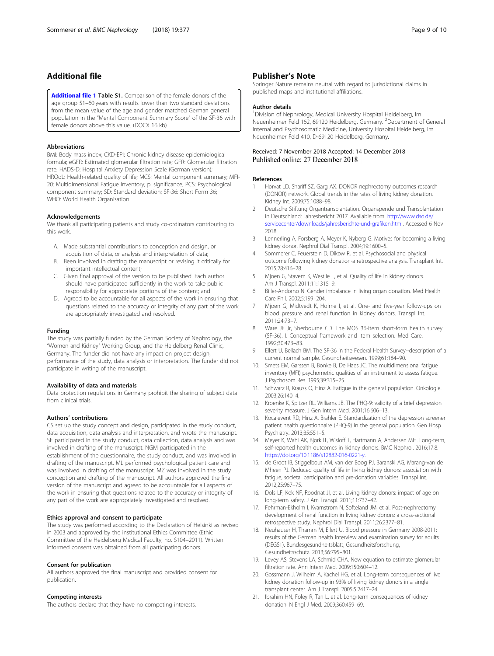## <span id="page-8-0"></span>Additional file

[Additional file 1](https://doi.org/10.1186/s12882-018-1187-8) Table S1. Comparison of the female donors of the age group 51–60 years with results lower than two standard deviations from the mean value of the age and gender matched German general population in the "Mental Component Summary Score" of the SF-36 with female donors above this value. (DOCX 16 kb)

### Abbreviations

BMI: Body mass index; CKD-EPI: Chronic kidney disease epidemiological formula; eGFR: Estimated glomerular filtration rate; GFR: Glomerular filtration rate; HADS-D: Hospital Anxiety Depression Scale (German version); HRQoL: Health-related quality of life; MCS: Mental component summary; MFI-20: Multidimensional Fatigue Inventory; p: significance; PCS: Psychological component summary; SD: Standard deviation; SF-36: Short Form 36; WHO: World Health Organisation

### Acknowledgements

We thank all participating patients and study co-ordinators contributing to this work.

- A. Made substantial contributions to conception and design, or acquisition of data, or analysis and interpretation of data;
- B. Been involved in drafting the manuscript or revising it critically for important intellectual content;
- C. Given final approval of the version to be published. Each author should have participated sufficiently in the work to take public responsibility for appropriate portions of the content; and
- D. Agreed to be accountable for all aspects of the work in ensuring that questions related to the accuracy or integrity of any part of the work are appropriately investigated and resolved.

#### Funding

The study was partially funded by the German Society of Nephrology, the "Women and Kidney" Working Group, and the Heidelberg Renal Clinic, Germany. The funder did not have any impact on project design, performance of the study, data analysis or interpretation. The funder did not participate in writing of the manuscript.

#### Availability of data and materials

Data protection regulations in Germany prohibit the sharing of subject data from clinical trials.

#### Authors' contributions

CS set up the study concept and design, participated in the study conduct, data acquisition, data analysis and interpretation, and wrote the manuscript. SE participated in the study conduct, data collection, data analysis and was involved in drafting of the manuscript. NGM participated in the establishment of the questionnaire, the study conduct, and was involved in drafting of the manuscript. ML performed psychological patient care and was involved in drafting of the manuscript. MZ was involved in the study conception and drafting of the manuscript. All authors approved the final version of the manuscript and agreed to be accountable for all aspects of the work in ensuring that questions related to the accuracy or integrity of any part of the work are appropriately investigated and resolved.

### Ethics approval and consent to participate

The study was performed according to the Declaration of Helsinki as revised in 2003 and approved by the institutional Ethics Committee (Ethic Committee of the Heidelberg Medical Faculty, no. S104–2011). Written informed consent was obtained from all participating donors.

#### Consent for publication

All authors approved the final manuscript and provided consent for publication.

## Competing interests

The authors declare that they have no competing interests.

Springer Nature remains neutral with regard to jurisdictional claims in published maps and institutional affiliations.

#### Author details

<sup>1</sup> Division of Nephrology, Medical University Hospital Heidelberg, Im Neuenheimer Feld 162, 69120 Heidelberg, Germany. <sup>2</sup>Department of General Internal and Psychosomatic Medicine, University Hospital Heidelberg, Im Neuenheimer Feld 410, D-69120 Heidelberg, Germany.

## Received: 7 November 2018 Accepted: 14 December 2018 Published online: 27 December 2018

## References

- 1. Horvat LD, Shariff SZ, Garg AX. DONOR nephrectomy outcomes research (DONOR) network. Global trends in the rates of living kidney donation. Kidney Int. 2009;75:1088–98.
- 2. Deutsche Stiftung Organtransplantation. Organspende und Transplantation in Deutschland: Jahresbericht 2017. Available from: [http://www.dso.de/](http://www.dso.de/servicecenter/downloads/jahresberichte-und-grafiken.html) [servicecenter/downloads/jahresberichte-und-grafiken.html.](http://www.dso.de/servicecenter/downloads/jahresberichte-und-grafiken.html) Accessed 6 Nov 2018.
- 3. Lennerling A, Forsberg A, Meyer K, Nyberg G. Motives for becoming a living kidney donor. Nephrol Dial Transpl. 2004;19:1600–5.
- Sommerer C, Feuerstein D, Dikow R, et al. Psychosocial and physical outcome following kidney donation-a retrospective analysis. Transplant Int. 2015;28:416–28.
- 5. Mjoen G, Stavem K, Westlie L, et al. Quality of life in kidney donors. Am J Transpl. 2011;11:1315–9.
- 6. Biller-Andorno N. Gender imbalance in living organ donation. Med Health Care Phil. 2002;5:199–204.
- 7. Mjoen G, Midtvedt K, Holme I, et al. One- and five-year follow-ups on blood pressure and renal function in kidney donors. Transpl Int. 2011;24:73–7.
- 8. Ware JE Jr, Sherbourne CD. The MOS 36-item short-form health survey (SF-36). I. Conceptual framework and item selection. Med Care. 1992;30:473–83.
- 9. Ellert U, Bellach BM. The SF-36 in the Federal Health Survey--description of a current normal sample. Gesundheitswesen. 1999;61:184–90.
- 10. Smets EM, Garssen B, Bonke B, De Haes JC. The multidimensional fatigue inventory (MFI) psychometric qualities of an instrument to assess fatigue. J Psychosom Res. 1995;39:315–25.
- 11. Schwarz R, Krauss O, Hinz A. Fatigue in the general population. Onkologie. 2003;26:140–4.
- 12. Kroenke K, Spitzer RL, Williams JB. The PHQ-9: validity of a brief depression severity measure. J Gen Intern Med. 2001;16:606–13.
- 13. Kocalevent RD, Hinz A, Brahler E. Standardization of the depression screener patient health questionnaire (PHQ-9) in the general population. Gen Hosp Psychiatry. 2013;35:551–5.
- 14. Meyer K, Wahl AK, Bjork IT, Wisloff T, Hartmann A, Andersen MH. Long-term, self-reported health outcomes in kidney donors. BMC Nephrol. 2016;17:8. [https://doi.org/10.1186/s12882-016-0221-y.](https://doi.org/10.1186/s12882-016-0221-y)
- 15. de Groot IB, Stiggelbout AM, van der Boog PJ, Baranski AG, Marang-van de Mheen PJ. Reduced quality of life in living kidney donors: association with fatigue, societal participation and pre-donation variables. Transpl Int. 2012;25:967–75.
- 16. Dols LF, Kok NF, Roodnat JI, et al. Living kidney donors: impact of age on long-term safety. J Am Transpl. 2011;11:737–42.
- 17. Fehrman-Ekholm I, Kvarnstrom N, Softeland JM, et al. Post-nephrectomy development of renal function in living kidney donors: a cross-sectional retrospective study. Nephrol Dial Transpl. 2011;26:2377–81.
- 18. Neuhauser H, Thamm M, Ellert U. Blood pressure in Germany 2008-2011: results of the German health interview and examination survey for adults (DEGS1). Bundesgesundheitsblatt, Gesundheitsforschung, Gesundheitsschutz. 2013;56:795–801.
- 19. Levey AS, Stevens LA, Schmid CHA. New equation to estimate glomerular filtration rate. Ann Intern Med. 2009;150:604–12.
- 20. Gossmann J, Wilhelm A, Kachel HG, et al. Long-term consequences of live kidney donation follow-up in 93% of living kidney donors in a single transplant center. Am J Transpl. 2005;5:2417–24.
- 21. Ibrahim HN, Foley R, Tan L, et al. Long-term consequences of kidney donation. N Engl J Med. 2009;360:459–69.